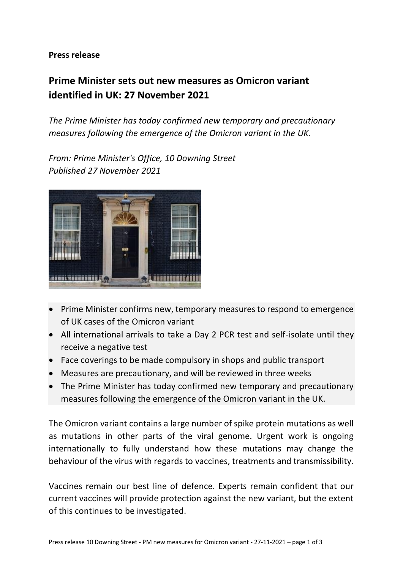**Press release**

## **Prime Minister sets out new measures as Omicron variant identified in UK: 27 November 2021**

*The Prime Minister has today confirmed new temporary and precautionary measures following the emergence of the Omicron variant in the UK.*

*From: Prime Minister's Office, 10 Downing Street Published 27 November 2021*



- Prime Minister confirms new, temporary measures to respond to emergence of UK cases of the Omicron variant
- All international arrivals to take a Day 2 PCR test and self-isolate until they receive a negative test
- Face coverings to be made compulsory in shops and public transport
- Measures are precautionary, and will be reviewed in three weeks
- The Prime Minister has today confirmed new temporary and precautionary measures following the emergence of the Omicron variant in the UK.

The Omicron variant contains a large number of spike protein mutations as well as mutations in other parts of the viral genome. Urgent work is ongoing internationally to fully understand how these mutations may change the behaviour of the virus with regards to vaccines, treatments and transmissibility.

Vaccines remain our best line of defence. Experts remain confident that our current vaccines will provide protection against the new variant, but the extent of this continues to be investigated.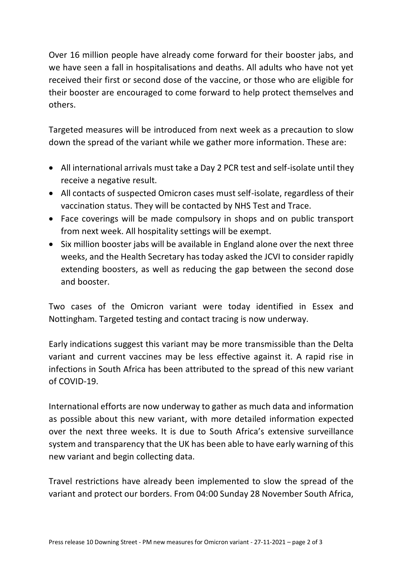Over 16 million people have already come forward for their booster jabs, and we have seen a fall in hospitalisations and deaths. All adults who have not yet received their first or second dose of the vaccine, or those who are eligible for their booster are encouraged to come forward to help protect themselves and others.

Targeted measures will be introduced from next week as a precaution to slow down the spread of the variant while we gather more information. These are:

- All international arrivals must take a Day 2 PCR test and self-isolate until they receive a negative result.
- All contacts of suspected Omicron cases must self-isolate, regardless of their vaccination status. They will be contacted by NHS Test and Trace.
- Face coverings will be made compulsory in shops and on public transport from next week. All hospitality settings will be exempt.
- Six million booster jabs will be available in England alone over the next three weeks, and the Health Secretary has today asked the JCVI to consider rapidly extending boosters, as well as reducing the gap between the second dose and booster.

Two cases of the Omicron variant were today identified in Essex and Nottingham. Targeted testing and contact tracing is now underway.

Early indications suggest this variant may be more transmissible than the Delta variant and current vaccines may be less effective against it. A rapid rise in infections in South Africa has been attributed to the spread of this new variant of COVID-19.

International efforts are now underway to gather as much data and information as possible about this new variant, with more detailed information expected over the next three weeks. It is due to South Africa's extensive surveillance system and transparency that the UK has been able to have early warning of this new variant and begin collecting data.

Travel restrictions have already been implemented to slow the spread of the variant and protect our borders. From 04:00 Sunday 28 November South Africa,